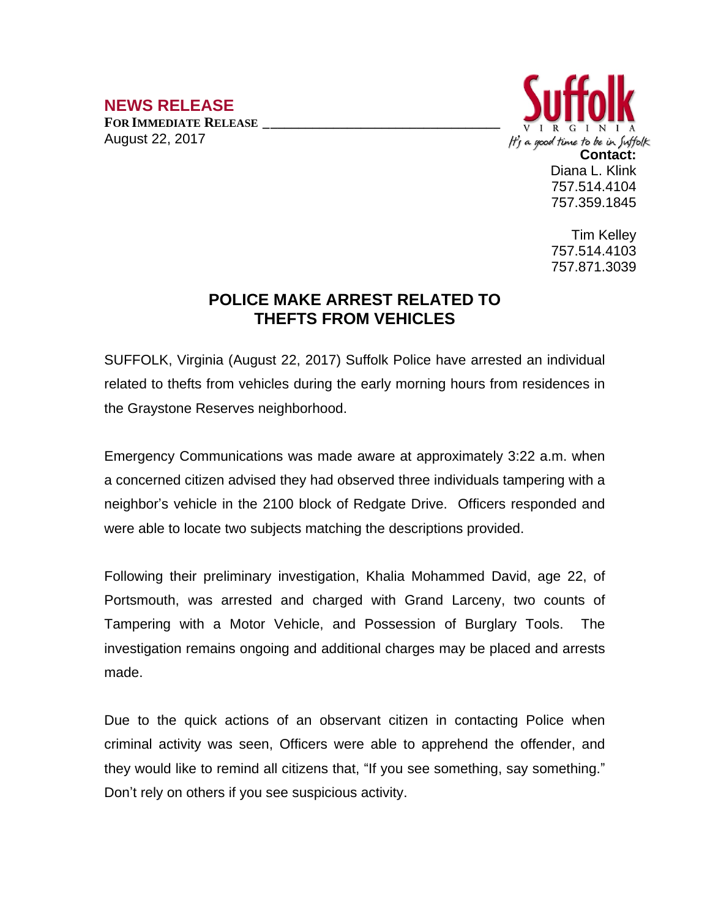## **NEWS RELEASE**

**FOR IMMEDIATE RELEASE \_\_\_\_\_\_\_\_\_\_\_\_\_\_\_\_\_\_\_\_\_\_\_\_\_\_\_\_\_\_\_\_\_\_** August 22, 2017



Tim Kelley 757.514.4103 757.871.3039

## **POLICE MAKE ARREST RELATED TO THEFTS FROM VEHICLES**

SUFFOLK, Virginia (August 22, 2017) Suffolk Police have arrested an individual related to thefts from vehicles during the early morning hours from residences in the Graystone Reserves neighborhood.

Emergency Communications was made aware at approximately 3:22 a.m. when a concerned citizen advised they had observed three individuals tampering with a neighbor's vehicle in the 2100 block of Redgate Drive. Officers responded and were able to locate two subjects matching the descriptions provided.

Following their preliminary investigation, Khalia Mohammed David, age 22, of Portsmouth, was arrested and charged with Grand Larceny, two counts of Tampering with a Motor Vehicle, and Possession of Burglary Tools. The investigation remains ongoing and additional charges may be placed and arrests made.

Due to the quick actions of an observant citizen in contacting Police when criminal activity was seen, Officers were able to apprehend the offender, and they would like to remind all citizens that, "If you see something, say something." Don't rely on others if you see suspicious activity.